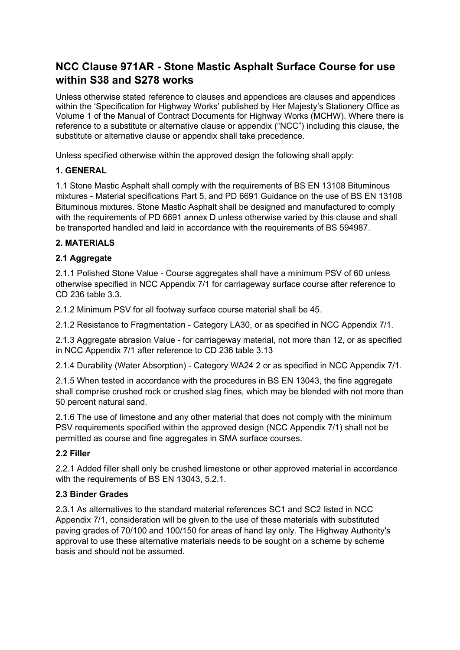# **NCC Clause 971AR - Stone Mastic Asphalt Surface Course for use within S38 and S278 works**

Unless otherwise stated reference to clauses and appendices are clauses and appendices within the 'Specification for Highway Works' published by Her Majesty's Stationery Office as Volume 1 of the Manual of Contract Documents for Highway Works (MCHW). Where there is reference to a substitute or alternative clause or appendix ("NCC") including this clause, the substitute or alternative clause or appendix shall take precedence.

Unless specified otherwise within the approved design the following shall apply:

# **1. GENERAL**

1.1 Stone Mastic Asphalt shall comply with the requirements of BS EN 13108 Bituminous mixtures - Material specifications Part 5, and PD 6691 Guidance on the use of BS EN 13108 Bituminous mixtures. Stone Mastic Asphalt shall be designed and manufactured to comply with the requirements of PD 6691 annex D unless otherwise varied by this clause and shall be transported handled and laid in accordance with the requirements of BS 594987.

# **2. MATERIALS**

# **2.1 Aggregate**

2.1.1 Polished Stone Value - Course aggregates shall have a minimum PSV of 60 unless otherwise specified in NCC Appendix 7/1 for carriageway surface course after reference to CD 236 table 3.3.

2.1.2 Minimum PSV for all footway surface course material shall be 45.

2.1.2 Resistance to Fragmentation - Category LA30, or as specified in NCC Appendix 7/1.

2.1.3 Aggregate abrasion Value - for carriageway material, not more than 12, or as specified in NCC Appendix 7/1 after reference to CD 236 table 3.13

2.1.4 Durability (Water Absorption) - Category WA24 2 or as specified in NCC Appendix 7/1.

2.1.5 When tested in accordance with the procedures in BS EN 13043, the fine aggregate shall comprise crushed rock or crushed slag fines, which may be blended with not more than 50 percent natural sand.

2.1.6 The use of limestone and any other material that does not comply with the minimum PSV requirements specified within the approved design (NCC Appendix 7/1) shall not be permitted as course and fine aggregates in SMA surface courses.

## **2.2 Filler**

2.2.1 Added filler shall only be crushed limestone or other approved material in accordance with the requirements of BS EN 13043, 5.2.1.

## **2.3 Binder Grades**

2.3.1 As alternatives to the standard material references SC1 and SC2 listed in NCC Appendix 7/1, consideration will be given to the use of these materials with substituted paving grades of 70/100 and 100/150 for areas of hand lay only. The Highway Authority's approval to use these alternative materials needs to be sought on a scheme by scheme basis and should not be assumed.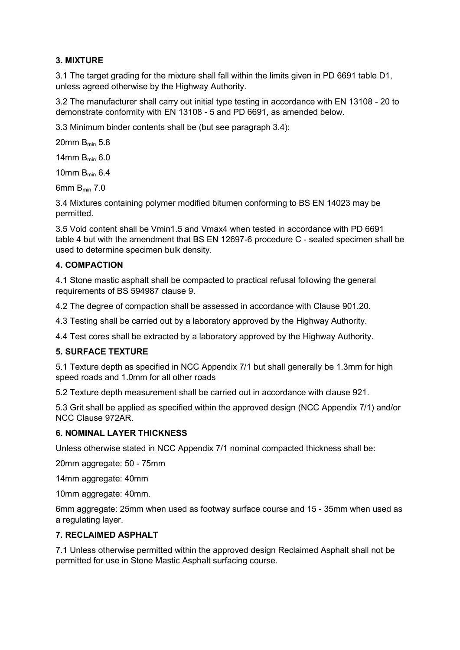## **3. MIXTURE**

3.1 The target grading for the mixture shall fall within the limits given in PD 6691 table D1, unless agreed otherwise by the Highway Authority.

3.2 The manufacturer shall carry out initial type testing in accordance with EN 13108 - 20 to demonstrate conformity with EN 13108 - 5 and PD 6691, as amended below.

3.3 Minimum binder contents shall be (but see paragraph 3.4):

20mm Bmin 5.8

14mm Bmin 6.0

10mm Bmin 6.4

6mm Bmin 7.0

3.4 Mixtures containing polymer modified bitumen conforming to BS EN 14023 may be permitted.

3.5 Void content shall be Vmin1.5 and Vmax4 when tested in accordance with PD 6691 table 4 but with the amendment that BS EN 12697-6 procedure C - sealed specimen shall be used to determine specimen bulk density.

## **4. COMPACTION**

4.1 Stone mastic asphalt shall be compacted to practical refusal following the general requirements of BS 594987 clause 9.

4.2 The degree of compaction shall be assessed in accordance with Clause 901.20.

4.3 Testing shall be carried out by a laboratory approved by the Highway Authority.

4.4 Test cores shall be extracted by a laboratory approved by the Highway Authority.

### **5. SURFACE TEXTURE**

5.1 Texture depth as specified in NCC Appendix 7/1 but shall generally be 1.3mm for high speed roads and 1.0mm for all other roads

5.2 Texture depth measurement shall be carried out in accordance with clause 921.

5.3 Grit shall be applied as specified within the approved design (NCC Appendix 7/1) and/or NCC Clause 972AR.

## **6. NOMINAL LAYER THICKNESS**

Unless otherwise stated in NCC Appendix 7/1 nominal compacted thickness shall be:

20mm aggregate: 50 - 75mm

14mm aggregate: 40mm

10mm aggregate: 40mm.

6mm aggregate: 25mm when used as footway surface course and 15 - 35mm when used as a regulating layer.

#### **7. RECLAIMED ASPHALT**

7.1 Unless otherwise permitted within the approved design Reclaimed Asphalt shall not be permitted for use in Stone Mastic Asphalt surfacing course.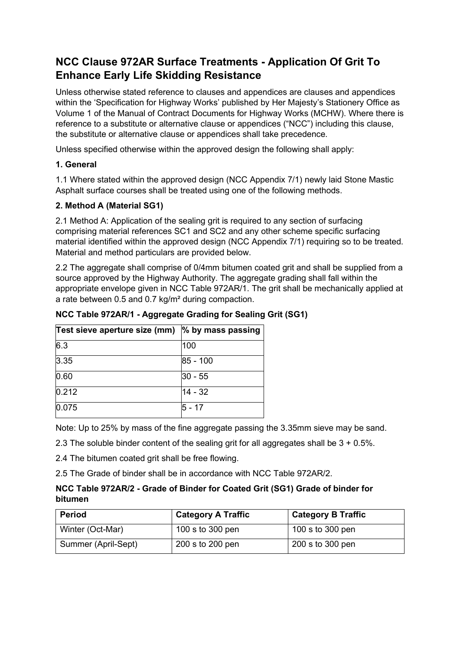# **NCC Clause 972AR Surface Treatments - Application Of Grit To Enhance Early Life Skidding Resistance**

Unless otherwise stated reference to clauses and appendices are clauses and appendices within the 'Specification for Highway Works' published by Her Majesty's Stationery Office as Volume 1 of the Manual of Contract Documents for Highway Works (MCHW). Where there is reference to a substitute or alternative clause or appendices ("NCC") including this clause, the substitute or alternative clause or appendices shall take precedence.

Unless specified otherwise within the approved design the following shall apply:

## **1. General**

1.1 Where stated within the approved design (NCC Appendix 7/1) newly laid Stone Mastic Asphalt surface courses shall be treated using one of the following methods.

## **2. Method A (Material SG1)**

2.1 Method A: Application of the sealing grit is required to any section of surfacing comprising material references SC1 and SC2 and any other scheme specific surfacing material identified within the approved design (NCC Appendix 7/1) requiring so to be treated. Material and method particulars are provided below.

2.2 The aggregate shall comprise of 0/4mm bitumen coated grit and shall be supplied from a source approved by the Highway Authority. The aggregate grading shall fall within the appropriate envelope given in NCC Table 972AR/1. The grit shall be mechanically applied at a rate between 0.5 and 0.7 kg/m² during compaction.

| Test sieve aperture size (mm) | % by mass passing |  |  |
|-------------------------------|-------------------|--|--|
| 6.3                           | 100               |  |  |
| 3.35                          | 85 - 100          |  |  |
| 0.60                          | $30 - 55$         |  |  |
| 0.212                         | 14 - 32           |  |  |
| 0.075                         | 5 - 17            |  |  |

**NCC Table 972AR/1 - Aggregate Grading for Sealing Grit (SG1)**

Note: Up to 25% by mass of the fine aggregate passing the 3.35mm sieve may be sand.

2.3 The soluble binder content of the sealing grit for all aggregates shall be  $3 + 0.5\%$ .

2.4 The bitumen coated grit shall be free flowing.

2.5 The Grade of binder shall be in accordance with NCC Table 972AR/2.

## **NCC Table 972AR/2 - Grade of Binder for Coated Grit (SG1) Grade of binder for bitumen**

| <b>Period</b>       | <b>Category A Traffic</b> | <b>Category B Traffic</b> |
|---------------------|---------------------------|---------------------------|
| Winter (Oct-Mar)    | 100 s to 300 pen          | 100 s to 300 pen          |
| Summer (April-Sept) | 200 s to 200 pen          | 200 s to 300 pen          |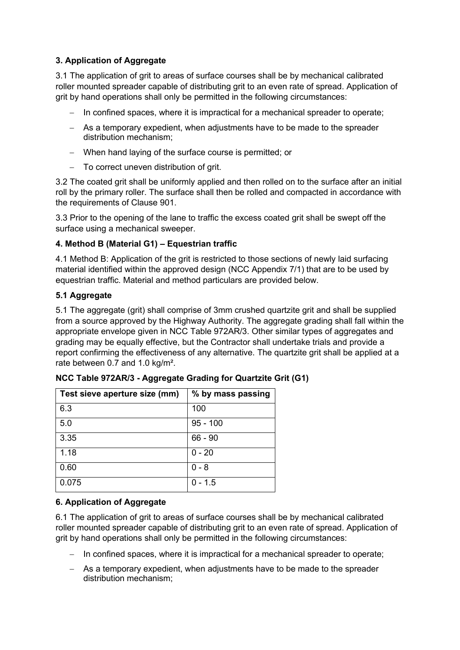# **3. Application of Aggregate**

3.1 The application of grit to areas of surface courses shall be by mechanical calibrated roller mounted spreader capable of distributing grit to an even rate of spread. Application of grit by hand operations shall only be permitted in the following circumstances:

- − In confined spaces, where it is impractical for a mechanical spreader to operate;
- − As a temporary expedient, when adjustments have to be made to the spreader distribution mechanism;
- − When hand laying of the surface course is permitted; or
- − To correct uneven distribution of grit.

3.2 The coated grit shall be uniformly applied and then rolled on to the surface after an initial roll by the primary roller. The surface shall then be rolled and compacted in accordance with the requirements of Clause 901.

3.3 Prior to the opening of the lane to traffic the excess coated grit shall be swept off the surface using a mechanical sweeper.

# **4. Method B (Material G1) – Equestrian traffic**

4.1 Method B: Application of the grit is restricted to those sections of newly laid surfacing material identified within the approved design (NCC Appendix 7/1) that are to be used by equestrian traffic. Material and method particulars are provided below.

# **5.1 Aggregate**

5.1 The aggregate (grit) shall comprise of 3mm crushed quartzite grit and shall be supplied from a source approved by the Highway Authority. The aggregate grading shall fall within the appropriate envelope given in NCC Table 972AR/3. Other similar types of aggregates and grading may be equally effective, but the Contractor shall undertake trials and provide a report confirming the effectiveness of any alternative. The quartzite grit shall be applied at a rate between 0.7 and 1.0 kg/m².

| Test sieve aperture size (mm) | % by mass passing |  |  |
|-------------------------------|-------------------|--|--|
| 6.3                           | 100               |  |  |
| 5.0                           | $95 - 100$        |  |  |
| 3.35                          | $66 - 90$         |  |  |
| 1.18                          | $0 - 20$          |  |  |
| 0.60                          | 0 - 8             |  |  |
| 0.075                         | $0 - 1.5$         |  |  |

| NCC Table 972AR/3 - Aggregate Grading for Quartzite Grit (G1) |  |  |  |
|---------------------------------------------------------------|--|--|--|
|---------------------------------------------------------------|--|--|--|

## **6. Application of Aggregate**

6.1 The application of grit to areas of surface courses shall be by mechanical calibrated roller mounted spreader capable of distributing grit to an even rate of spread. Application of grit by hand operations shall only be permitted in the following circumstances:

- − In confined spaces, where it is impractical for a mechanical spreader to operate;
- − As a temporary expedient, when adjustments have to be made to the spreader distribution mechanism;